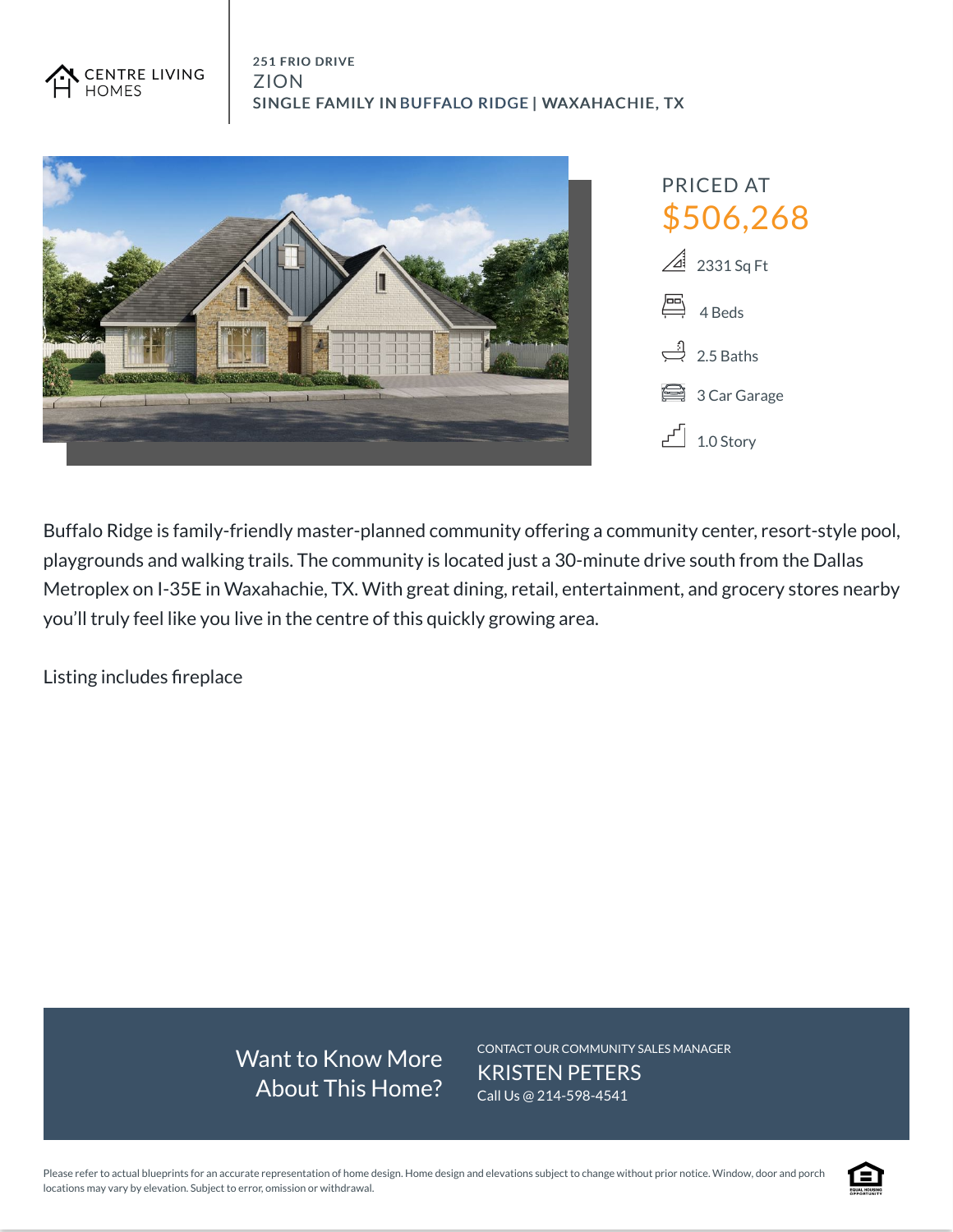



Buffalo Ridge is family-friendly master-planned community offering a community center, resort-style pool, playgrounds and walking trails. The community is located just a 30-minute drive south from the Dallas Metroplex on I-35E in Waxahachie, TX. With great dining, retail, entertainment, and grocery stores nearby you'll truly feel like you live in the centre of this quickly growing area.

Listing includes fireplace

Want to Know More About This Home? CONTACT OUR COMMUNITY SALES MANAGER KRISTEN PETERS Call Us @ 214-598-4541